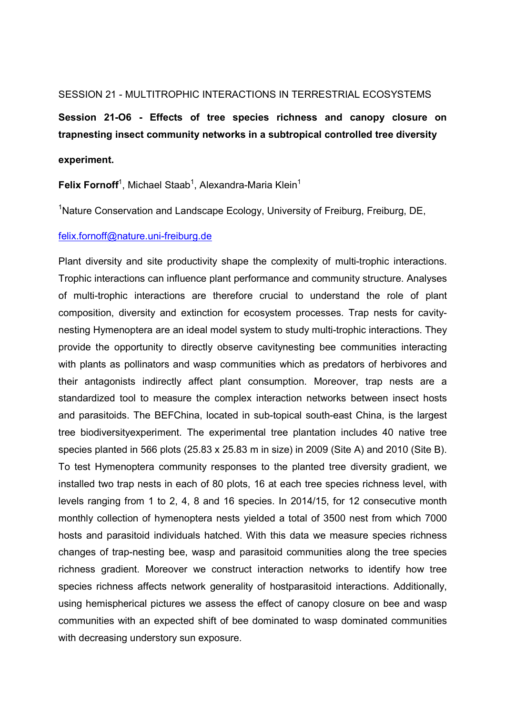#### SESSION 21 - MULTITROPHIC INTERACTIONS IN TERRESTRIAL ECOSYSTEMS

**Session 21-O6 - Effects of tree species richness and canopy closure on trapnesting insect community networks in a subtropical controlled tree diversity** 

#### **experiment.**

Felix Fornoff<sup>1</sup>, Michael Staab<sup>1</sup>, Alexandra-Maria Klein<sup>1</sup>

<sup>1</sup>Nature Conservation and Landscape Ecology, University of Freiburg, Freiburg, DE,

### felix.fornoff@nature.uni-freiburg.de

Plant diversity and site productivity shape the complexity of multi-trophic interactions. Trophic interactions can influence plant performance and community structure. Analyses of multi-trophic interactions are therefore crucial to understand the role of plant composition, diversity and extinction for ecosystem processes. Trap nests for cavitynesting Hymenoptera are an ideal model system to study multi-trophic interactions. They provide the opportunity to directly observe cavitynesting bee communities interacting with plants as pollinators and wasp communities which as predators of herbivores and their antagonists indirectly affect plant consumption. Moreover, trap nests are a standardized tool to measure the complex interaction networks between insect hosts and parasitoids. The BEFChina, located in sub-topical south-east China, is the largest tree biodiversityexperiment. The experimental tree plantation includes 40 native tree species planted in 566 plots (25.83 x 25.83 m in size) in 2009 (Site A) and 2010 (Site B). To test Hymenoptera community responses to the planted tree diversity gradient, we installed two trap nests in each of 80 plots, 16 at each tree species richness level, with levels ranging from 1 to 2, 4, 8 and 16 species. In 2014/15, for 12 consecutive month monthly collection of hymenoptera nests yielded a total of 3500 nest from which 7000 hosts and parasitoid individuals hatched. With this data we measure species richness changes of trap-nesting bee, wasp and parasitoid communities along the tree species richness gradient. Moreover we construct interaction networks to identify how tree species richness affects network generality of hostparasitoid interactions. Additionally, using hemispherical pictures we assess the effect of canopy closure on bee and wasp communities with an expected shift of bee dominated to wasp dominated communities with decreasing understory sun exposure.